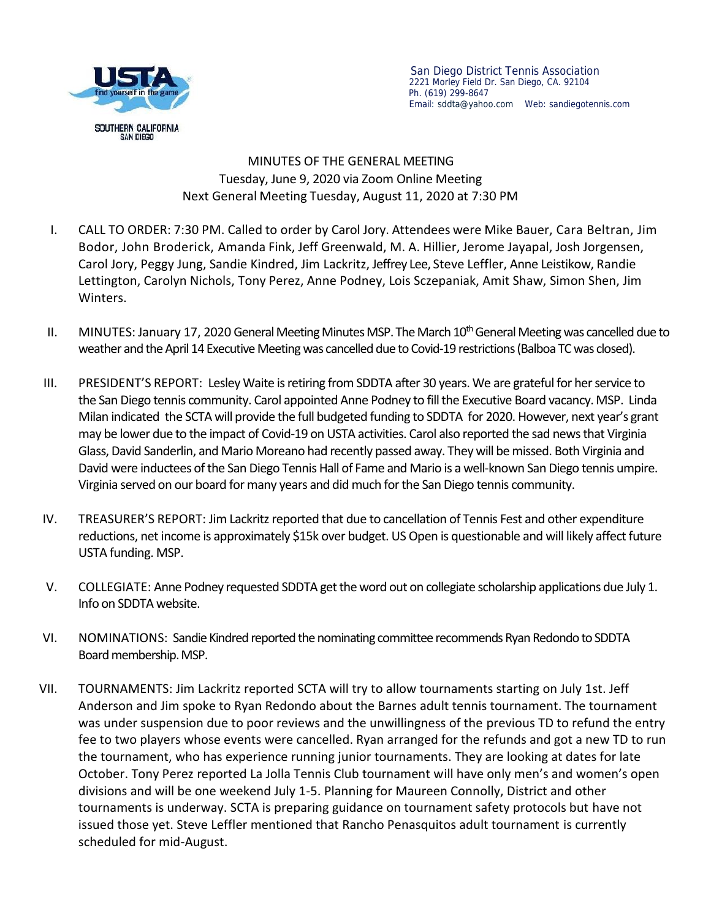

San Diego District Tennis Association 2221 Morley Field Dr. San Diego, CA. 92104 Ph. (619) 299-8647 Email: sddta@yahoo.com Web:sandiegotennis.com

MINUTES OF THE GENERAL MEETING Tuesday, June 9, 2020 via Zoom Online Meeting Next General Meeting Tuesday, August 11, 2020 at 7:30 PM

- I. CALL TO ORDER: 7:30 PM. Called to order by Carol Jory. Attendees were Mike Bauer, Cara Beltran, Jim Bodor, John Broderick, Amanda Fink, Jeff Greenwald, M. A. Hillier, Jerome Jayapal, Josh Jorgensen, Carol Jory, Peggy Jung, Sandie Kindred, Jim Lackritz, Jeffrey Lee, Steve Leffler, Anne Leistikow, Randie Lettington, Carolyn Nichols, Tony Perez, Anne Podney, Lois Sczepaniak, Amit Shaw, Simon Shen, Jim Winters.
- II. MINUTES: January 17, 2020 General Meeting Minutes MSP. The March 10<sup>th</sup> General Meeting was cancelled due to weather and the April 14 Executive Meeting was cancelled due to Covid-19 restrictions (Balboa TCwas closed).
- III. PRESIDENT'S REPORT: Lesley Waite is retiring from SDDTA after 30 years. We are grateful for her service to the San Diego tennis community. Carol appointed Anne Podney to fill the Executive Board vacancy. MSP. Linda Milan indicated the SCTA will provide the full budgeted funding to SDDTA for 2020. However, next year's grant may be lower due to the impact of Covid-19 on USTA activities. Carol also reported the sad news that Virginia Glass, David Sanderlin, and Mario Moreano had recently passed away. They will be missed. Both Virginia and David were inductees of the San Diego Tennis Hall of Fame and Mario is a well-known San Diego tennis umpire. Virginia served on our board for many years and did much for the San Diego tennis community.
- IV. TREASURER'S REPORT: Jim Lackritz reported that due to cancellation of Tennis Fest and other expenditure reductions, net income is approximately \$15k over budget. US Open is questionable and will likely affect future USTA funding. MSP.
- V. COLLEGIATE: Anne Podney requested SDDTA get the word out on collegiate scholarship applications due July 1. Info on SDDTA website.
- VI. NOMINATIONS: Sandie Kindred reported the nominating committee recommends Ryan Redondo to SDDTA Board membership.MSP.
- VII. TOURNAMENTS: Jim Lackritz reported SCTA will try to allow tournaments starting on July 1st. Jeff Anderson and Jim spoke to Ryan Redondo about the Barnes adult tennis tournament. The tournament was under suspension due to poor reviews and the unwillingness of the previous TD to refund the entry fee to two players whose events were cancelled. Ryan arranged for the refunds and got a new TD to run the tournament, who has experience running junior tournaments. They are looking at dates for late October. Tony Perez reported La Jolla Tennis Club tournament will have only men's and women's open divisions and will be one weekend July 1-5. Planning for Maureen Connolly, District and other tournaments is underway. SCTA is preparing guidance on tournament safety protocols but have not issued those yet. Steve Leffler mentioned that Rancho Penasquitos adult tournament is currently scheduled for mid-August.